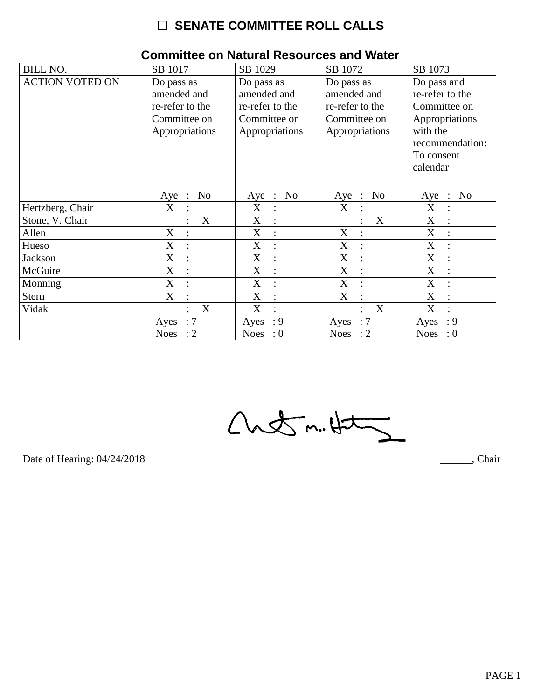# $\Box$  SENATE COMMITTEE ROLL CALLS

| <b>BILL NO.</b>        | SB 1017                                         | SB 1029                   | SB 1072                                         | SB 1073                               |
|------------------------|-------------------------------------------------|---------------------------|-------------------------------------------------|---------------------------------------|
| <b>ACTION VOTED ON</b> | Do pass as                                      | Do pass as                | Do pass as                                      | Do pass and                           |
|                        | amended and                                     | amended and               | amended and                                     | re-refer to the                       |
|                        | re-refer to the                                 | re-refer to the           | re-refer to the                                 | Committee on                          |
|                        | Committee on                                    | Committee on              | Committee on                                    | Appropriations                        |
|                        | Appropriations                                  | Appropriations            | Appropriations                                  | with the                              |
|                        |                                                 |                           |                                                 | recommendation:                       |
|                        |                                                 |                           |                                                 | To consent                            |
|                        |                                                 |                           |                                                 | calendar                              |
|                        |                                                 |                           |                                                 |                                       |
|                        | N <sub>o</sub><br>Aye<br>$\ddot{\phantom{1}}$ : | No<br>Aye<br>$\mathbb{R}$ | N <sub>o</sub><br>Aye<br>$\ddot{\phantom{1}}$ : | N <sub>o</sub><br>Aye<br>$\therefore$ |
| Hertzberg, Chair       | X                                               | X<br>:                    | X                                               | $\mathbf X$                           |
| Stone, V. Chair        | X                                               | X<br>$\ddot{\cdot}$       | $\mathbf X$                                     | X                                     |
| Allen                  | X                                               | X<br>$\ddot{ }$           | X                                               | X<br>$\ddot{\cdot}$                   |
| Hueso                  | X                                               | X<br>$\vdots$             | X                                               | X                                     |
| Jackson                | X<br>$\ddot{\cdot}$                             | X<br>$\ddot{\cdot}$       | X                                               | X                                     |
| McGuire                | X<br>$\cdot$                                    | X<br>$\ddot{\cdot}$       | X                                               | X<br>$\bullet$                        |
| Monning                | X                                               | X                         | X                                               | X                                     |
| <b>Stern</b>           | $\boldsymbol{\mathrm{X}}$                       | X<br>$\ddot{\cdot}$       | X                                               | X                                     |
| Vidak                  | X                                               | X<br>$\bullet$            | X<br>$\bullet$                                  | X                                     |
|                        | $\therefore 7$<br>Ayes                          | : 9<br>Ayes               | $\therefore 7$<br>Ayes                          | : 9<br>Ayes                           |
|                        | Noes : $2$                                      | Noes : $0$                | Noes : $2$                                      | <b>Noes</b><br>$\therefore 0$         |

### **Committee on Natural Resources and Water**

 $Custm.4t$ 

Date of Hearing: 04/24/2018

Chair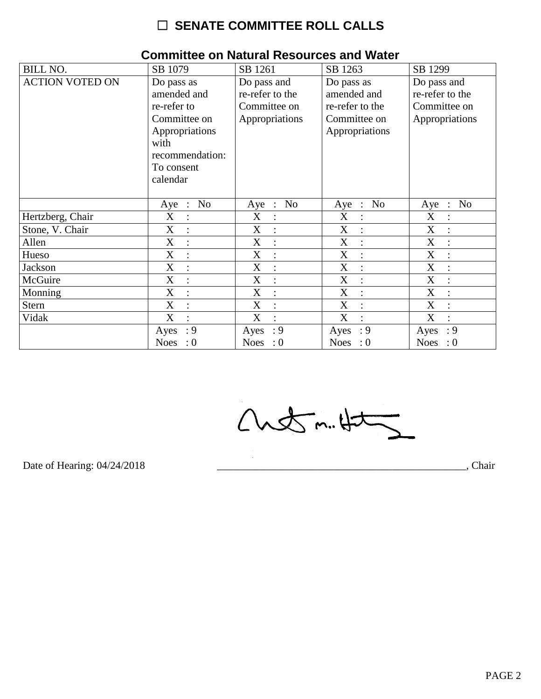# $\Box$  SENATE COMMITTEE ROLL CALLS

| <b>BILL NO.</b>        | SB 1079                       | SB 1261             | SB 1263                   | SB 1299                               |
|------------------------|-------------------------------|---------------------|---------------------------|---------------------------------------|
| <b>ACTION VOTED ON</b> | Do pass as                    | Do pass and         | Do pass as                | Do pass and                           |
|                        | amended and                   | re-refer to the     | amended and               | re-refer to the                       |
|                        | re-refer to                   | Committee on        | re-refer to the           | Committee on                          |
|                        | Committee on                  | Appropriations      | Committee on              | Appropriations                        |
|                        | Appropriations                |                     | Appropriations            |                                       |
|                        | with                          |                     |                           |                                       |
|                        | recommendation:               |                     |                           |                                       |
|                        | To consent                    |                     |                           |                                       |
|                        | calendar                      |                     |                           |                                       |
|                        |                               |                     |                           |                                       |
|                        | N <sub>o</sub><br>Aye :       | Aye : No            | N <sub>o</sub><br>$Aye$ : | N <sub>o</sub><br>Aye<br>$\therefore$ |
| Hertzberg, Chair       | X<br>$\ddot{\cdot}$           | X                   | X                         | X                                     |
| Stone, V. Chair        | $\mathbf X$<br>$\ddot{\cdot}$ | X<br>$\ddot{\cdot}$ | X<br>$\ddot{\cdot}$       | $\mathbf X$                           |
| Allen                  | X<br>$\ddot{\cdot}$           | X<br>$\ddot{\cdot}$ | X                         | $\mathbf X$                           |
| Hueso                  | X<br>$\ddot{\cdot}$           | X<br>÷              | X<br>$\ddot{\cdot}$       | X                                     |
| <b>Jackson</b>         | X                             | X<br>$\ddot{\cdot}$ | X<br>÷                    | X                                     |
| McGuire                | X<br>$\ddot{\cdot}$           | X<br>$\ddot{\cdot}$ | X<br>$\ddot{\cdot}$       | X                                     |
| Monning                | X<br>$\ddot{\cdot}$           | X<br>$\ddot{\cdot}$ | X                         | X                                     |
| <b>Stern</b>           | X<br>$\ddot{\cdot}$           | X<br>$\vdots$       | X<br>$\ddot{\cdot}$       | X                                     |
| Vidak                  | X                             | X                   | X                         | X                                     |
|                        | : 9<br>Ayes                   | : 9<br>Ayes         | : 9<br>Ayes               | : 9<br>Ayes                           |
|                        | Noes<br>$\cdot 0$             | Noes : $0$          | Noes : $0$                | Noes : $0$                            |

#### **Committee on Natural Resources and Water**

 $Custm.4t\overline{2}$ 

Date of Hearing: 04/24/2018

Chair

PAGE 2